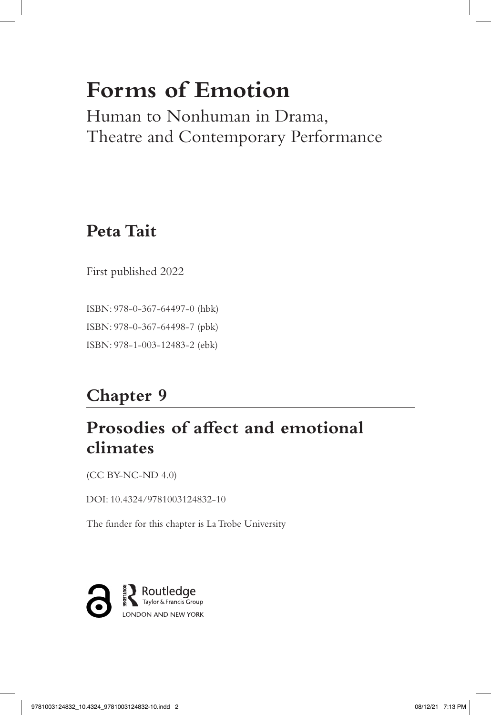# **Forms of Emotion**

Human to Nonhuman in Drama, Theatre and Contemporary Performance

# **Peta Tait**

First published 2022

ISBN: 978-0-367-64497-0 (hbk) ISBN: 978-0-367-64498-7 (pbk) ISBN: 978-1-003-12483-2 (ebk)

# **Chapter 9**

## **Prosodies of affect and emotional climates**

(CC BY-NC-ND 4.0)

DOI: 10.4324/9781003124832-10

The funder for this chapter is La Trobe University

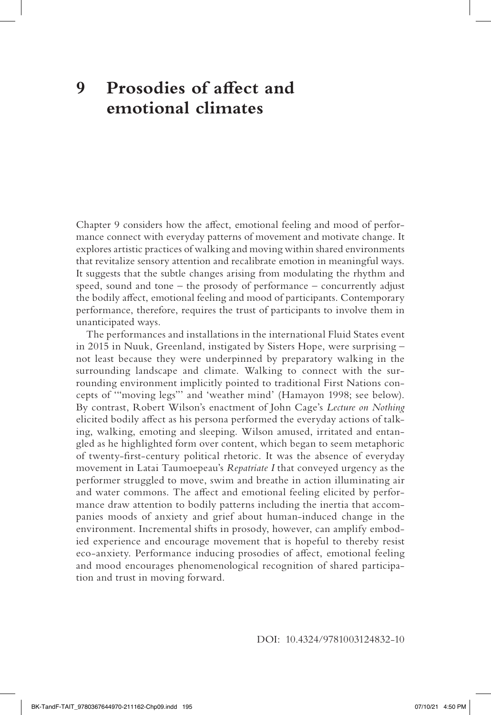### **9 Prosodies of affect and emotional climates**

Chapter 9 considers how the affect, emotional feeling and mood of performance connect with everyday patterns of movement and motivate change. It explores artistic practices of walking and moving within shared environments that revitalize sensory attention and recalibrate emotion in meaningful ways. It suggests that the subtle changes arising from modulating the rhythm and speed, sound and tone – the prosody of performance – concurrently adjust the bodily affect, emotional feeling and mood of participants. Contemporary performance, therefore, requires the trust of participants to involve them in unanticipated ways.

The performances and installations in the international Fluid States event in 2015 in Nuuk, Greenland, instigated by Sisters Hope, were surprising – not least because they were underpinned by preparatory walking in the surrounding landscape and climate. Walking to connect with the surrounding environment implicitly pointed to traditional First Nations concepts of '"moving legs"' and 'weather mind' (Hamayon 1998; see below). By contrast, Robert Wilson's enactment of John Cage's *Lecture on Nothing* elicited bodily affect as his persona performed the everyday actions of talking, walking, emoting and sleeping. Wilson amused, irritated and entangled as he highlighted form over content, which began to seem metaphoric of twenty-first-century political rhetoric. It was the absence of everyday movement in Latai Taumoepeau's *Repatriate I* that conveyed urgency as the performer struggled to move, swim and breathe in action illuminating air and water commons. The affect and emotional feeling elicited by performance draw attention to bodily patterns including the inertia that accompanies moods of anxiety and grief about human-induced change in the environment. Incremental shifts in prosody, however, can amplify embodied experience and encourage movement that is hopeful to thereby resist eco-anxiety. Performance inducing prosodies of affect, emotional feeling and mood encourages phenomenological recognition of shared participation and trust in moving forward.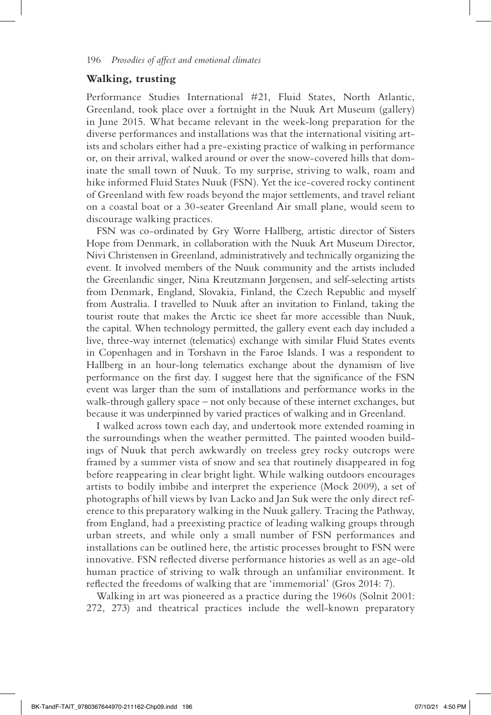#### **Walking, trusting**

Performance Studies International #21, Fluid States, North Atlantic, Greenland, took place over a fortnight in the Nuuk Art Museum (gallery) in June 2015. What became relevant in the week-long preparation for the diverse performances and installations was that the international visiting artists and scholars either had a pre-existing practice of walking in performance or, on their arrival, walked around or over the snow-covered hills that dominate the small town of Nuuk. To my surprise, striving to walk, roam and hike informed Fluid States Nuuk (FSN). Yet the ice-covered rocky continent of Greenland with few roads beyond the major settlements, and travel reliant on a coastal boat or a 30-seater Greenland Air small plane, would seem to discourage walking practices.

FSN was co-ordinated by Gry Worre Hallberg, artistic director of Sisters Hope from Denmark, in collaboration with the Nuuk Art Museum Director, Nivi Christensen in Greenland, administratively and technically organizing the event. It involved members of the Nuuk community and the artists included the Greenlandic singer, Nina Kreutzmann Jørgensen, and self-selecting artists from Denmark, England, Slovakia, Finland, the Czech Republic and myself from Australia. I travelled to Nuuk after an invitation to Finland, taking the tourist route that makes the Arctic ice sheet far more accessible than Nuuk, the capital. When technology permitted, the gallery event each day included a live, three-way internet (telematics) exchange with similar Fluid States events in Copenhagen and in Torshavn in the Faroe Islands. I was a respondent to Hallberg in an hour-long telematics exchange about the dynamism of live performance on the first day. I suggest here that the significance of the FSN event was larger than the sum of installations and performance works in the walk-through gallery space – not only because of these internet exchanges, but because it was underpinned by varied practices of walking and in Greenland.

I walked across town each day, and undertook more extended roaming in the surroundings when the weather permitted. The painted wooden buildings of Nuuk that perch awkwardly on treeless grey rocky outcrops were framed by a summer vista of snow and sea that routinely disappeared in fog before reappearing in clear bright light. While walking outdoors encourages artists to bodily imbibe and interpret the experience (Mock 2009), a set of photographs of hill views by Ivan Lacko and Jan Suk were the only direct reference to this preparatory walking in the Nuuk gallery. Tracing the Pathway, from England, had a preexisting practice of leading walking groups through urban streets, and while only a small number of FSN performances and installations can be outlined here, the artistic processes brought to FSN were innovative. FSN reflected diverse performance histories as well as an age-old human practice of striving to walk through an unfamiliar environment. It reflected the freedoms of walking that are 'immemorial' (Gros 2014: 7).

Walking in art was pioneered as a practice during the 1960s (Solnit 2001: 272, 273) and theatrical practices include the well-known preparatory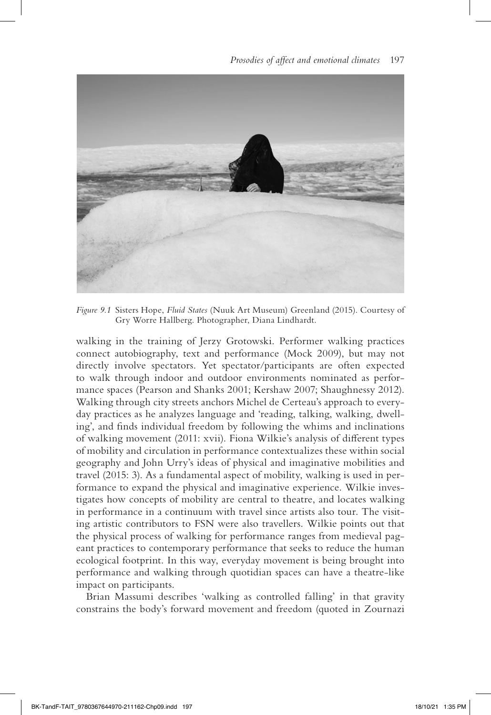

*Figure 9.1* Sisters Hope, *Fluid States* (Nuuk Art Museum) Greenland (2015). Courtesy of Gry Worre Hallberg. Photographer, Diana Lindhardt.

walking in the training of Jerzy Grotowski. Performer walking practices connect autobiography, text and performance (Mock 2009), but may not directly involve spectators. Yet spectator/participants are often expected to walk through indoor and outdoor environments nominated as performance spaces (Pearson and Shanks 2001; Kershaw 2007; Shaughnessy 2012). Walking through city streets anchors Michel de Certeau's approach to everyday practices as he analyzes language and 'reading, talking, walking, dwelling', and finds individual freedom by following the whims and inclinations of walking movement (2011: xvii). Fiona Wilkie's analysis of different types of mobility and circulation in performance contextualizes these within social geography and John Urry's ideas of physical and imaginative mobilities and travel (2015: 3). As a fundamental aspect of mobility, walking is used in performance to expand the physical and imaginative experience. Wilkie investigates how concepts of mobility are central to theatre, and locates walking in performance in a continuum with travel since artists also tour. The visiting artistic contributors to FSN were also travellers. Wilkie points out that the physical process of walking for performance ranges from medieval pageant practices to contemporary performance that seeks to reduce the human ecological footprint. In this way, everyday movement is being brought into performance and walking through quotidian spaces can have a theatre-like impact on participants.

Brian Massumi describes 'walking as controlled falling' in that gravity constrains the body's forward movement and freedom (quoted in Zournazi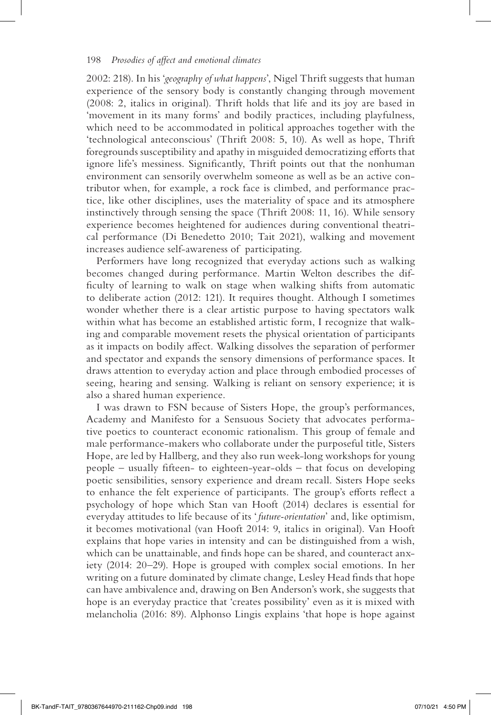2002: 218). In his '*geography of what happens*', Nigel Thrift suggests that human experience of the sensory body is constantly changing through movement (2008: 2, italics in original). Thrift holds that life and its joy are based in 'movement in its many forms' and bodily practices, including playfulness, which need to be accommodated in political approaches together with the 'technological anteconscious' (Thrift 2008: 5, 10). As well as hope, Thrift foregrounds susceptibility and apathy in misguided democratizing efforts that ignore life's messiness. Significantly, Thrift points out that the nonhuman environment can sensorily overwhelm someone as well as be an active contributor when, for example, a rock face is climbed, and performance practice, like other disciplines, uses the materiality of space and its atmosphere instinctively through sensing the space (Thrift 2008: 11, 16). While sensory experience becomes heightened for audiences during conventional theatrical performance (Di Benedetto 2010; Tait 2021), walking and movement increases audience self-awareness of participating.

Performers have long recognized that everyday actions such as walking becomes changed during performance. Martin Welton describes the difficulty of learning to walk on stage when walking shifts from automatic to deliberate action (2012: 121). It requires thought. Although I sometimes wonder whether there is a clear artistic purpose to having spectators walk within what has become an established artistic form, I recognize that walking and comparable movement resets the physical orientation of participants as it impacts on bodily affect. Walking dissolves the separation of performer and spectator and expands the sensory dimensions of performance spaces. It draws attention to everyday action and place through embodied processes of seeing, hearing and sensing. Walking is reliant on sensory experience; it is also a shared human experience.

I was drawn to FSN because of Sisters Hope, the group's performances, Academy and Manifesto for a Sensuous Society that advocates performative poetics to counteract economic rationalism. This group of female and male performance-makers who collaborate under the purposeful title, Sisters Hope, are led by Hallberg, and they also run week-long workshops for young people – usually fifteen- to eighteen-year-olds – that focus on developing poetic sensibilities, sensory experience and dream recall. Sisters Hope seeks to enhance the felt experience of participants. The group's efforts reflect a psychology of hope which Stan van Hooft (2014) declares is essential for everyday attitudes to life because of its ' *future-orientation*' and, like optimism, it becomes motivational (van Hooft 2014: 9, italics in original). Van Hooft explains that hope varies in intensity and can be distinguished from a wish, which can be unattainable, and finds hope can be shared, and counteract anxiety (2014: 20–29). Hope is grouped with complex social emotions. In her writing on a future dominated by climate change, Lesley Head finds that hope can have ambivalence and, drawing on Ben Anderson's work, she suggests that hope is an everyday practice that 'creates possibility' even as it is mixed with melancholia (2016: 89). Alphonso Lingis explains 'that hope is hope against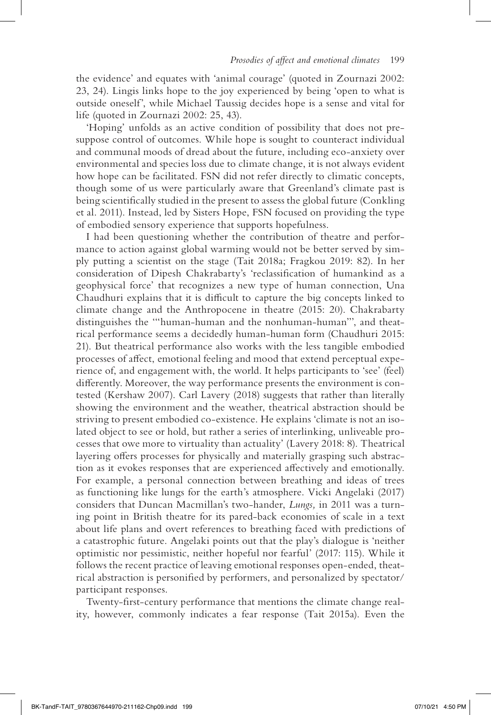the evidence' and equates with 'animal courage' (quoted in Zournazi 2002: 23, 24). Lingis links hope to the joy experienced by being 'open to what is outside oneself', while Michael Taussig decides hope is a sense and vital for life (quoted in Zournazi 2002: 25, 43).

'Hoping' unfolds as an active condition of possibility that does not presuppose control of outcomes. While hope is sought to counteract individual and communal moods of dread about the future, including eco-anxiety over environmental and species loss due to climate change, it is not always evident how hope can be facilitated. FSN did not refer directly to climatic concepts, though some of us were particularly aware that Greenland's climate past is being scientifically studied in the present to assess the global future (Conkling et al. 2011). Instead, led by Sisters Hope, FSN focused on providing the type of embodied sensory experience that supports hopefulness.

I had been questioning whether the contribution of theatre and performance to action against global warming would not be better served by simply putting a scientist on the stage (Tait 2018a; Fragkou 2019: 82). In her consideration of Dipesh Chakrabarty's 'reclassification of humankind as a geophysical force' that recognizes a new type of human connection, Una Chaudhuri explains that it is difficult to capture the big concepts linked to climate change and the Anthropocene in theatre (2015: 20). Chakrabarty distinguishes the '"human-human and the nonhuman-human"', and theatrical performance seems a decidedly human-human form (Chaudhuri 2015: 21). But theatrical performance also works with the less tangible embodied processes of affect, emotional feeling and mood that extend perceptual experience of, and engagement with, the world. It helps participants to 'see' (feel) differently. Moreover, the way performance presents the environment is contested (Kershaw 2007). Carl Lavery (2018) suggests that rather than literally showing the environment and the weather, theatrical abstraction should be striving to present embodied co-existence. He explains 'climate is not an isolated object to see or hold, but rather a series of interlinking, unliveable processes that owe more to virtuality than actuality' (Lavery 2018: 8). Theatrical layering offers processes for physically and materially grasping such abstraction as it evokes responses that are experienced affectively and emotionally. For example, a personal connection between breathing and ideas of trees as functioning like lungs for the earth's atmosphere. Vicki Angelaki (2017) considers that Duncan Macmillan's two-hander, *Lungs,* in 2011 was a turning point in British theatre for its pared-back economies of scale in a text about life plans and overt references to breathing faced with predictions of a catastrophic future. Angelaki points out that the play's dialogue is 'neither optimistic nor pessimistic, neither hopeful nor fearful' (2017: 115). While it follows the recent practice of leaving emotional responses open-ended, theatrical abstraction is personified by performers, and personalized by spectator/ participant responses.

Twenty-first-century performance that mentions the climate change reality, however, commonly indicates a fear response (Tait 2015a). Even the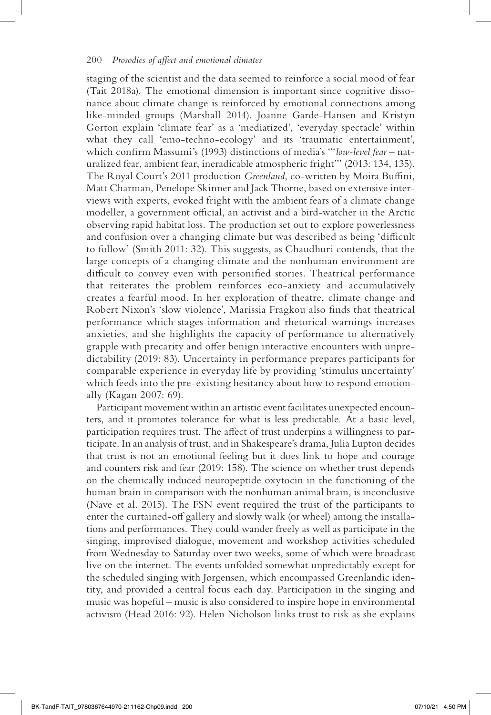staging of the scientist and the data seemed to reinforce a social mood of fear (Tait 2018a). The emotional dimension is important since cognitive dissonance about climate change is reinforced by emotional connections among like-minded groups (Marshall 2014). Joanne Garde-Hansen and Kristyn Gorton explain 'climate fear' as a 'mediatized', 'everyday spectacle' within what they call 'emo-techno-ecology' and its 'traumatic entertainment', which confirm Massumi's (1993) distinctions of media's '"*low-level fear* – naturalized fear, ambient fear, ineradicable atmospheric fright"' (2013: 134, 135). The Royal Court's 2011 production *Greenland*, co-written by Moira Buffini, Matt Charman, Penelope Skinner and Jack Thorne, based on extensive interviews with experts, evoked fright with the ambient fears of a climate change modeller, a government official, an activist and a bird-watcher in the Arctic observing rapid habitat loss. The production set out to explore powerlessness and confusion over a changing climate but was described as being 'difficult to follow' (Smith 2011: 32). This suggests, as Chaudhuri contends, that the large concepts of a changing climate and the nonhuman environment are difficult to convey even with personified stories. Theatrical performance that reiterates the problem reinforces eco-anxiety and accumulatively creates a fearful mood. In her exploration of theatre, climate change and Robert Nixon's 'slow violence', Marissia Fragkou also finds that theatrical performance which stages information and rhetorical warnings increases anxieties, and she highlights the capacity of performance to alternatively grapple with precarity and offer benign interactive encounters with unpredictability (2019: 83). Uncertainty in performance prepares participants for comparable experience in everyday life by providing 'stimulus uncertainty' which feeds into the pre-existing hesitancy about how to respond emotionally (Kagan 2007: 69).

Participant movement within an artistic event facilitates unexpected encounters, and it promotes tolerance for what is less predictable. At a basic level, participation requires trust. The affect of trust underpins a willingness to participate. In an analysis of trust, and in Shakespeare's drama, Julia Lupton decides that trust is not an emotional feeling but it does link to hope and courage and counters risk and fear (2019: 158). The science on whether trust depends on the chemically induced neuropeptide oxytocin in the functioning of the human brain in comparison with the nonhuman animal brain, is inconclusive (Nave et al. 2015). The FSN event required the trust of the participants to enter the curtained-off gallery and slowly walk (or wheel) among the installations and performances. They could wander freely as well as participate in the singing, improvised dialogue, movement and workshop activities scheduled from Wednesday to Saturday over two weeks, some of which were broadcast live on the internet. The events unfolded somewhat unpredictably except for the scheduled singing with Jørgensen, which encompassed Greenlandic identity, and provided a central focus each day. Participation in the singing and music was hopeful – music is also considered to inspire hope in environmental activism (Head 2016: 92). Helen Nicholson links trust to risk as she explains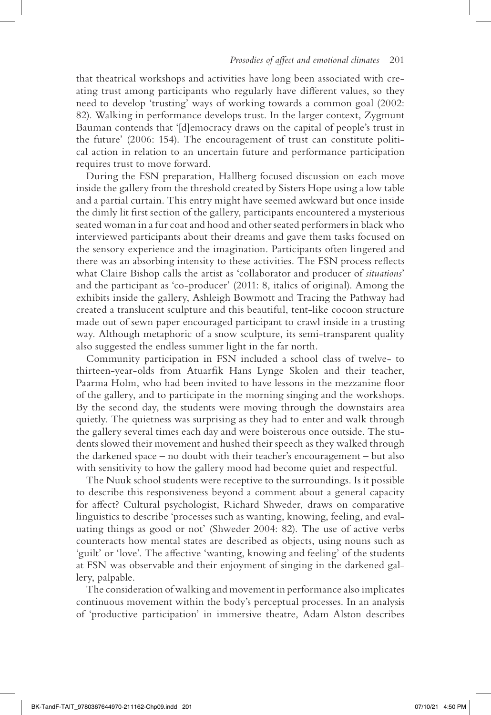that theatrical workshops and activities have long been associated with creating trust among participants who regularly have different values, so they need to develop 'trusting' ways of working towards a common goal (2002: 82). Walking in performance develops trust. In the larger context, Zygmunt Bauman contends that '[d]emocracy draws on the capital of people's trust in the future' (2006: 154). The encouragement of trust can constitute political action in relation to an uncertain future and performance participation requires trust to move forward.

During the FSN preparation, Hallberg focused discussion on each move inside the gallery from the threshold created by Sisters Hope using a low table and a partial curtain. This entry might have seemed awkward but once inside the dimly lit first section of the gallery, participants encountered a mysterious seated woman in a fur coat and hood and other seated performers in black who interviewed participants about their dreams and gave them tasks focused on the sensory experience and the imagination. Participants often lingered and there was an absorbing intensity to these activities. The FSN process reflects what Claire Bishop calls the artist as 'collaborator and producer of *situations*' and the participant as 'co-producer' (2011: 8, italics of original). Among the exhibits inside the gallery, Ashleigh Bowmott and Tracing the Pathway had created a translucent sculpture and this beautiful, tent-like cocoon structure made out of sewn paper encouraged participant to crawl inside in a trusting way. Although metaphoric of a snow sculpture, its semi-transparent quality also suggested the endless summer light in the far north.

Community participation in FSN included a school class of twelve- to thirteen-year-olds from Atuarfik Hans Lynge Skolen and their teacher, Paarma Holm, who had been invited to have lessons in the mezzanine floor of the gallery, and to participate in the morning singing and the workshops. By the second day, the students were moving through the downstairs area quietly. The quietness was surprising as they had to enter and walk through the gallery several times each day and were boisterous once outside. The students slowed their movement and hushed their speech as they walked through the darkened space – no doubt with their teacher's encouragement – but also with sensitivity to how the gallery mood had become quiet and respectful.

The Nuuk school students were receptive to the surroundings. Is it possible to describe this responsiveness beyond a comment about a general capacity for affect? Cultural psychologist, Richard Shweder, draws on comparative linguistics to describe 'processes such as wanting, knowing, feeling, and evaluating things as good or not' (Shweder 2004: 82). The use of active verbs counteracts how mental states are described as objects, using nouns such as 'guilt' or 'love'. The affective 'wanting, knowing and feeling' of the students at FSN was observable and their enjoyment of singing in the darkened gallery, palpable.

The consideration of walking and movement in performance also implicates continuous movement within the body's perceptual processes. In an analysis of 'productive participation' in immersive theatre, Adam Alston describes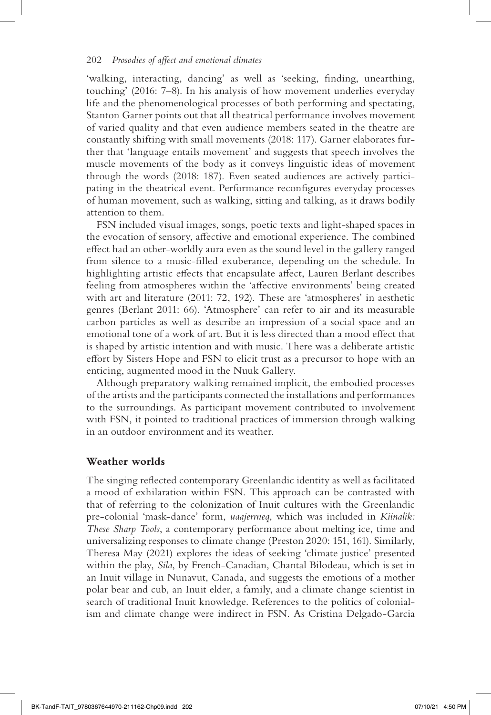'walking, interacting, dancing' as well as 'seeking, finding, unearthing, touching' (2016: 7–8). In his analysis of how movement underlies everyday life and the phenomenological processes of both performing and spectating, Stanton Garner points out that all theatrical performance involves movement of varied quality and that even audience members seated in the theatre are constantly shifting with small movements (2018: 117). Garner elaborates further that 'language entails movement' and suggests that speech involves the muscle movements of the body as it conveys linguistic ideas of movement through the words (2018: 187). Even seated audiences are actively participating in the theatrical event. Performance reconfigures everyday processes of human movement, such as walking, sitting and talking, as it draws bodily attention to them.

FSN included visual images, songs, poetic texts and light-shaped spaces in the evocation of sensory, affective and emotional experience. The combined effect had an other-worldly aura even as the sound level in the gallery ranged from silence to a music-filled exuberance, depending on the schedule. In highlighting artistic effects that encapsulate affect, Lauren Berlant describes feeling from atmospheres within the 'affective environments' being created with art and literature (2011: 72, 192). These are 'atmospheres' in aesthetic genres (Berlant 2011: 66). 'Atmosphere' can refer to air and its measurable carbon particles as well as describe an impression of a social space and an emotional tone of a work of art. But it is less directed than a mood effect that is shaped by artistic intention and with music. There was a deliberate artistic effort by Sisters Hope and FSN to elicit trust as a precursor to hope with an enticing, augmented mood in the Nuuk Gallery.

Although preparatory walking remained implicit, the embodied processes of the artists and the participants connected the installations and performances to the surroundings. As participant movement contributed to involvement with FSN, it pointed to traditional practices of immersion through walking in an outdoor environment and its weather.

#### **Weather worlds**

The singing reflected contemporary Greenlandic identity as well as facilitated a mood of exhilaration within FSN. This approach can be contrasted with that of referring to the colonization of Inuit cultures with the Greenlandic pre-colonial 'mask-dance' form, *uaajerrneq*, which was included in *Kiinalik: These Sharp Tools*, a contemporary performance about melting ice, time and universalizing responses to climate change (Preston 2020: 151, 161). Similarly, Theresa May (2021) explores the ideas of seeking 'climate justice' presented within the play, *Sila*, by French-Canadian, Chantal Bilodeau, which is set in an Inuit village in Nunavut, Canada, and suggests the emotions of a mother polar bear and cub, an Inuit elder, a family, and a climate change scientist in search of traditional Inuit knowledge. References to the politics of colonialism and climate change were indirect in FSN. As Cristina Delgado-Garcia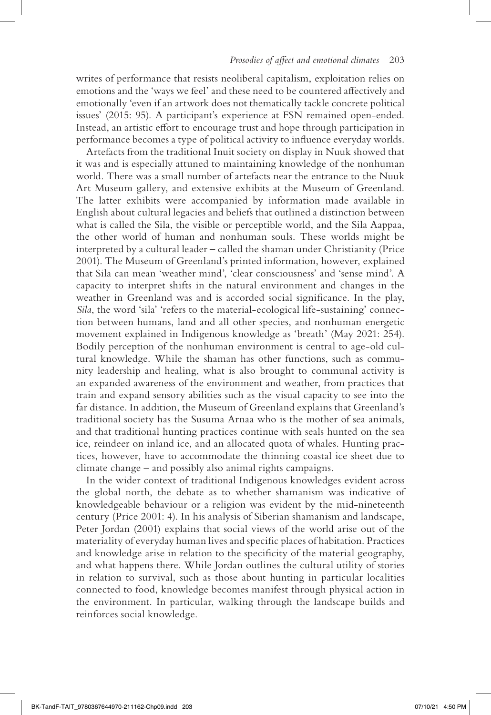writes of performance that resists neoliberal capitalism, exploitation relies on emotions and the 'ways we feel' and these need to be countered affectively and emotionally 'even if an artwork does not thematically tackle concrete political issues' (2015: 95). A participant's experience at FSN remained open-ended. Instead, an artistic effort to encourage trust and hope through participation in performance becomes a type of political activity to influence everyday worlds.

Artefacts from the traditional Inuit society on display in Nuuk showed that it was and is especially attuned to maintaining knowledge of the nonhuman world. There was a small number of artefacts near the entrance to the Nuuk Art Museum gallery, and extensive exhibits at the Museum of Greenland. The latter exhibits were accompanied by information made available in English about cultural legacies and beliefs that outlined a distinction between what is called the Sila, the visible or perceptible world, and the Sila Aappaa, the other world of human and nonhuman souls. These worlds might be interpreted by a cultural leader – called the shaman under Christianity (Price 2001). The Museum of Greenland's printed information, however, explained that Sila can mean 'weather mind', 'clear consciousness' and 'sense mind'. A capacity to interpret shifts in the natural environment and changes in the weather in Greenland was and is accorded social significance. In the play, *Sila*, the word 'sila' 'refers to the material-ecological life-sustaining' connection between humans, land and all other species, and nonhuman energetic movement explained in Indigenous knowledge as 'breath' (May 2021: 254). Bodily perception of the nonhuman environment is central to age-old cultural knowledge. While the shaman has other functions, such as community leadership and healing, what is also brought to communal activity is an expanded awareness of the environment and weather, from practices that train and expand sensory abilities such as the visual capacity to see into the far distance. In addition, the Museum of Greenland explains that Greenland's traditional society has the Susuma Arnaa who is the mother of sea animals, and that traditional hunting practices continue with seals hunted on the sea ice, reindeer on inland ice, and an allocated quota of whales. Hunting practices, however, have to accommodate the thinning coastal ice sheet due to climate change – and possibly also animal rights campaigns.

In the wider context of traditional Indigenous knowledges evident across the global north, the debate as to whether shamanism was indicative of knowledgeable behaviour or a religion was evident by the mid-nineteenth century (Price 2001: 4). In his analysis of Siberian shamanism and landscape, Peter Jordan (2001) explains that social views of the world arise out of the materiality of everyday human lives and specific places of habitation. Practices and knowledge arise in relation to the specificity of the material geography, and what happens there. While Jordan outlines the cultural utility of stories in relation to survival, such as those about hunting in particular localities connected to food, knowledge becomes manifest through physical action in the environment. In particular, walking through the landscape builds and reinforces social knowledge.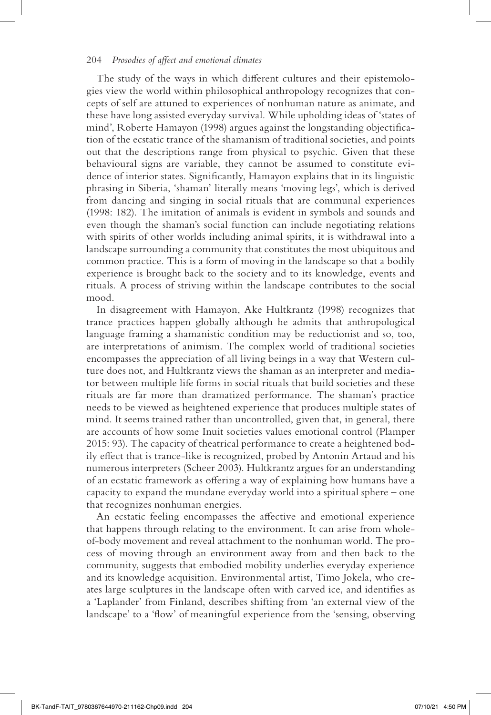#### 204 *Prosodies of affect and emotional climates*

The study of the ways in which different cultures and their epistemologies view the world within philosophical anthropology recognizes that concepts of self are attuned to experiences of nonhuman nature as animate, and these have long assisted everyday survival. While upholding ideas of 'states of mind', Roberte Hamayon (1998) argues against the longstanding objectification of the ecstatic trance of the shamanism of traditional societies, and points out that the descriptions range from physical to psychic. Given that these behavioural signs are variable, they cannot be assumed to constitute evidence of interior states. Significantly, Hamayon explains that in its linguistic phrasing in Siberia, 'shaman' literally means 'moving legs', which is derived from dancing and singing in social rituals that are communal experiences (1998: 182). The imitation of animals is evident in symbols and sounds and even though the shaman's social function can include negotiating relations with spirits of other worlds including animal spirits, it is withdrawal into a landscape surrounding a community that constitutes the most ubiquitous and common practice. This is a form of moving in the landscape so that a bodily experience is brought back to the society and to its knowledge, events and rituals. A process of striving within the landscape contributes to the social mood.

In disagreement with Hamayon, Ake Hultkrantz (1998) recognizes that trance practices happen globally although he admits that anthropological language framing a shamanistic condition may be reductionist and so, too, are interpretations of animism. The complex world of traditional societies encompasses the appreciation of all living beings in a way that Western culture does not, and Hultkrantz views the shaman as an interpreter and mediator between multiple life forms in social rituals that build societies and these rituals are far more than dramatized performance. The shaman's practice needs to be viewed as heightened experience that produces multiple states of mind. It seems trained rather than uncontrolled, given that, in general, there are accounts of how some Inuit societies values emotional control (Plamper 2015: 93). The capacity of theatrical performance to create a heightened bodily effect that is trance-like is recognized, probed by Antonin Artaud and his numerous interpreters (Scheer 2003). Hultkrantz argues for an understanding of an ecstatic framework as offering a way of explaining how humans have a capacity to expand the mundane everyday world into a spiritual sphere – one that recognizes nonhuman energies.

An ecstatic feeling encompasses the affective and emotional experience that happens through relating to the environment. It can arise from wholeof-body movement and reveal attachment to the nonhuman world. The process of moving through an environment away from and then back to the community, suggests that embodied mobility underlies everyday experience and its knowledge acquisition. Environmental artist, Timo Jokela, who creates large sculptures in the landscape often with carved ice, and identifies as a 'Laplander' from Finland, describes shifting from 'an external view of the landscape' to a 'flow' of meaningful experience from the 'sensing, observing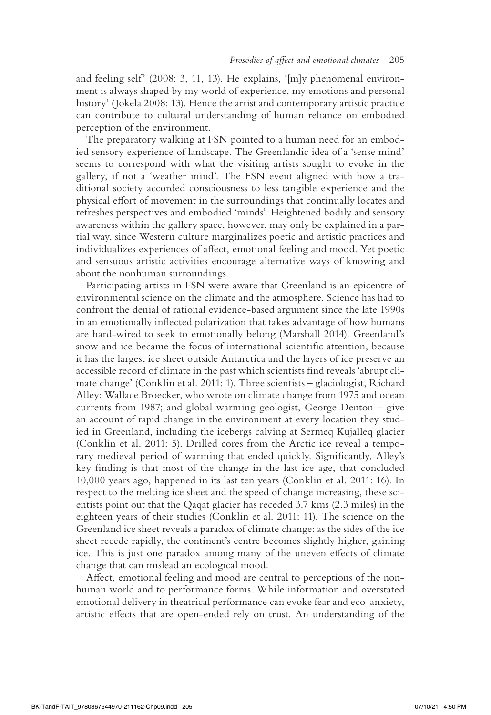and feeling self' (2008: 3, 11, 13). He explains, '[m]y phenomenal environment is always shaped by my world of experience, my emotions and personal history' (Jokela 2008: 13). Hence the artist and contemporary artistic practice can contribute to cultural understanding of human reliance on embodied perception of the environment.

The preparatory walking at FSN pointed to a human need for an embodied sensory experience of landscape. The Greenlandic idea of a 'sense mind' seems to correspond with what the visiting artists sought to evoke in the gallery, if not a 'weather mind'. The FSN event aligned with how a traditional society accorded consciousness to less tangible experience and the physical effort of movement in the surroundings that continually locates and refreshes perspectives and embodied 'minds'. Heightened bodily and sensory awareness within the gallery space, however, may only be explained in a partial way, since Western culture marginalizes poetic and artistic practices and individualizes experiences of affect, emotional feeling and mood. Yet poetic and sensuous artistic activities encourage alternative ways of knowing and about the nonhuman surroundings.

Participating artists in FSN were aware that Greenland is an epicentre of environmental science on the climate and the atmosphere. Science has had to confront the denial of rational evidence-based argument since the late 1990s in an emotionally inflected polarization that takes advantage of how humans are hard-wired to seek to emotionally belong (Marshall 2014). Greenland's snow and ice became the focus of international scientific attention, because it has the largest ice sheet outside Antarctica and the layers of ice preserve an accessible record of climate in the past which scientists find reveals 'abrupt climate change' (Conklin et al. 2011: 1). Three scientists – glaciologist, Richard Alley; Wallace Broecker, who wrote on climate change from 1975 and ocean currents from 1987; and global warming geologist, George Denton – give an account of rapid change in the environment at every location they studied in Greenland, including the icebergs calving at Sermeq Kujalleq glacier (Conklin et al. 2011: 5). Drilled cores from the Arctic ice reveal a temporary medieval period of warming that ended quickly. Significantly, Alley's key finding is that most of the change in the last ice age, that concluded 10,000 years ago, happened in its last ten years (Conklin et al. 2011: 16). In respect to the melting ice sheet and the speed of change increasing, these scientists point out that the Qaqat glacier has receded 3.7 kms (2.3 miles) in the eighteen years of their studies (Conklin et al. 2011: 11). The science on the Greenland ice sheet reveals a paradox of climate change: as the sides of the ice sheet recede rapidly, the continent's centre becomes slightly higher, gaining ice. This is just one paradox among many of the uneven effects of climate change that can mislead an ecological mood.

Affect, emotional feeling and mood are central to perceptions of the nonhuman world and to performance forms. While information and overstated emotional delivery in theatrical performance can evoke fear and eco-anxiety, artistic effects that are open-ended rely on trust. An understanding of the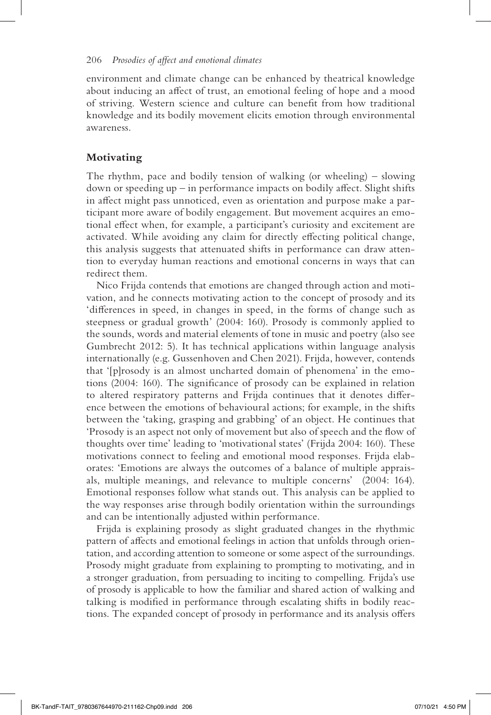environment and climate change can be enhanced by theatrical knowledge about inducing an affect of trust, an emotional feeling of hope and a mood of striving. Western science and culture can benefit from how traditional knowledge and its bodily movement elicits emotion through environmental awareness.

#### **Motivating**

The rhythm, pace and bodily tension of walking (or wheeling) – slowing down or speeding up – in performance impacts on bodily affect. Slight shifts in affect might pass unnoticed, even as orientation and purpose make a participant more aware of bodily engagement. But movement acquires an emotional effect when, for example, a participant's curiosity and excitement are activated. While avoiding any claim for directly effecting political change, this analysis suggests that attenuated shifts in performance can draw attention to everyday human reactions and emotional concerns in ways that can redirect them.

Nico Frijda contends that emotions are changed through action and motivation, and he connects motivating action to the concept of prosody and its 'differences in speed, in changes in speed, in the forms of change such as steepness or gradual growth' (2004: 160). Prosody is commonly applied to the sounds, words and material elements of tone in music and poetry (also see Gumbrecht 2012: 5). It has technical applications within language analysis internationally (e.g. Gussenhoven and Chen 2021). Frijda, however, contends that '[p]rosody is an almost uncharted domain of phenomena' in the emotions (2004: 160). The significance of prosody can be explained in relation to altered respiratory patterns and Frijda continues that it denotes difference between the emotions of behavioural actions; for example, in the shifts between the 'taking, grasping and grabbing' of an object. He continues that 'Prosody is an aspect not only of movement but also of speech and the flow of thoughts over time' leading to 'motivational states' (Frijda 2004: 160). These motivations connect to feeling and emotional mood responses. Frijda elaborates: 'Emotions are always the outcomes of a balance of multiple appraisals, multiple meanings, and relevance to multiple concerns' (2004: 164). Emotional responses follow what stands out. This analysis can be applied to the way responses arise through bodily orientation within the surroundings and can be intentionally adjusted within performance.

Frijda is explaining prosody as slight graduated changes in the rhythmic pattern of affects and emotional feelings in action that unfolds through orientation, and according attention to someone or some aspect of the surroundings. Prosody might graduate from explaining to prompting to motivating, and in a stronger graduation, from persuading to inciting to compelling. Frijda's use of prosody is applicable to how the familiar and shared action of walking and talking is modified in performance through escalating shifts in bodily reactions. The expanded concept of prosody in performance and its analysis offers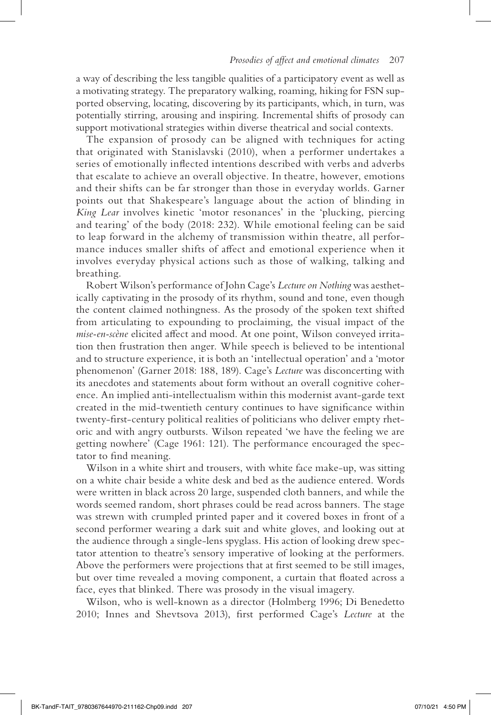a way of describing the less tangible qualities of a participatory event as well as a motivating strategy. The preparatory walking, roaming, hiking for FSN supported observing, locating, discovering by its participants, which, in turn, was potentially stirring, arousing and inspiring. Incremental shifts of prosody can support motivational strategies within diverse theatrical and social contexts.

The expansion of prosody can be aligned with techniques for acting that originated with Stanislavski (2010), when a performer undertakes a series of emotionally inflected intentions described with verbs and adverbs that escalate to achieve an overall objective. In theatre, however, emotions and their shifts can be far stronger than those in everyday worlds. Garner points out that Shakespeare's language about the action of blinding in *King Lear* involves kinetic 'motor resonances' in the 'plucking, piercing and tearing' of the body (2018: 232). While emotional feeling can be said to leap forward in the alchemy of transmission within theatre, all performance induces smaller shifts of affect and emotional experience when it involves everyday physical actions such as those of walking, talking and breathing.

Robert Wilson's performance of John Cage's *Lecture on Nothing* was aesthetically captivating in the prosody of its rhythm, sound and tone, even though the content claimed nothingness. As the prosody of the spoken text shifted from articulating to expounding to proclaiming, the visual impact of the *mise-en-scène* elicited affect and mood. At one point, Wilson conveyed irritation then frustration then anger. While speech is believed to be intentional and to structure experience, it is both an 'intellectual operation' and a 'motor phenomenon' (Garner 2018: 188, 189). Cage's *Lecture* was disconcerting with its anecdotes and statements about form without an overall cognitive coherence. An implied anti-intellectualism within this modernist avant-garde text created in the mid-twentieth century continues to have significance within twenty-first-century political realities of politicians who deliver empty rhetoric and with angry outbursts. Wilson repeated 'we have the feeling we are getting nowhere' (Cage 1961: 121). The performance encouraged the spectator to find meaning.

Wilson in a white shirt and trousers, with white face make-up, was sitting on a white chair beside a white desk and bed as the audience entered. Words were written in black across 20 large, suspended cloth banners, and while the words seemed random, short phrases could be read across banners. The stage was strewn with crumpled printed paper and it covered boxes in front of a second performer wearing a dark suit and white gloves, and looking out at the audience through a single-lens spyglass. His action of looking drew spectator attention to theatre's sensory imperative of looking at the performers. Above the performers were projections that at first seemed to be still images, but over time revealed a moving component, a curtain that floated across a face, eyes that blinked. There was prosody in the visual imagery.

Wilson, who is well-known as a director (Holmberg 1996; Di Benedetto 2010; Innes and Shevtsova 2013), first performed Cage's *Lecture* at the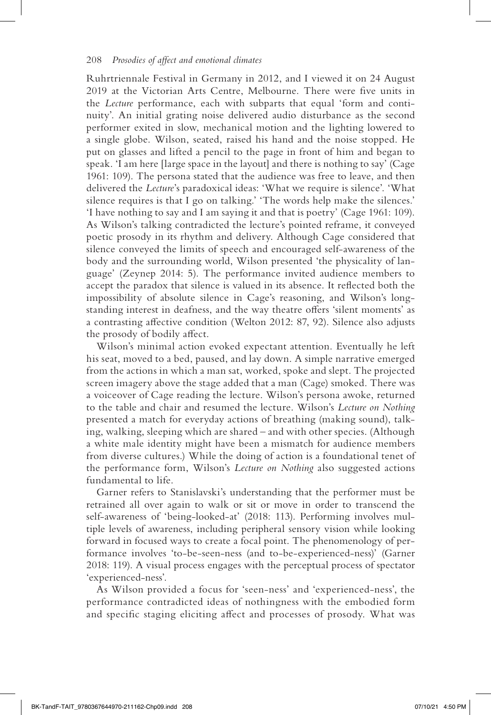Ruhrtriennale Festival in Germany in 2012, and I viewed it on 24 August 2019 at the Victorian Arts Centre, Melbourne. There were five units in the *Lecture* performance, each with subparts that equal 'form and continuity'. An initial grating noise delivered audio disturbance as the second performer exited in slow, mechanical motion and the lighting lowered to a single globe. Wilson, seated, raised his hand and the noise stopped. He put on glasses and lifted a pencil to the page in front of him and began to speak. 'I am here [large space in the layout] and there is nothing to say' (Cage 1961: 109). The persona stated that the audience was free to leave, and then delivered the *Lecture*'s paradoxical ideas: 'What we require is silence'. 'What silence requires is that I go on talking.' 'The words help make the silences.' 'I have nothing to say and I am saying it and that is poetry' (Cage 1961: 109). As Wilson's talking contradicted the lecture's pointed reframe, it conveyed poetic prosody in its rhythm and delivery. Although Cage considered that silence conveyed the limits of speech and encouraged self-awareness of the body and the surrounding world, Wilson presented 'the physicality of language' (Zeynep 2014: 5). The performance invited audience members to accept the paradox that silence is valued in its absence. It reflected both the impossibility of absolute silence in Cage's reasoning, and Wilson's longstanding interest in deafness, and the way theatre offers 'silent moments' as a contrasting affective condition (Welton 2012: 87, 92). Silence also adjusts the prosody of bodily affect.

Wilson's minimal action evoked expectant attention. Eventually he left his seat, moved to a bed, paused, and lay down. A simple narrative emerged from the actions in which a man sat, worked, spoke and slept. The projected screen imagery above the stage added that a man (Cage) smoked. There was a voiceover of Cage reading the lecture. Wilson's persona awoke, returned to the table and chair and resumed the lecture. Wilson's *Lecture on Nothing* presented a match for everyday actions of breathing (making sound), talking, walking, sleeping which are shared – and with other species. (Although a white male identity might have been a mismatch for audience members from diverse cultures.) While the doing of action is a foundational tenet of the performance form, Wilson's *Lecture on Nothing* also suggested actions fundamental to life.

Garner refers to Stanislavski's understanding that the performer must be retrained all over again to walk or sit or move in order to transcend the self-awareness of 'being-looked-at' (2018: 113). Performing involves multiple levels of awareness, including peripheral sensory vision while looking forward in focused ways to create a focal point. The phenomenology of performance involves 'to-be-seen-ness (and to-be-experienced-ness)' (Garner 2018: 119). A visual process engages with the perceptual process of spectator 'experienced-ness'.

As Wilson provided a focus for 'seen-ness' and 'experienced-ness', the performance contradicted ideas of nothingness with the embodied form and specific staging eliciting affect and processes of prosody. What was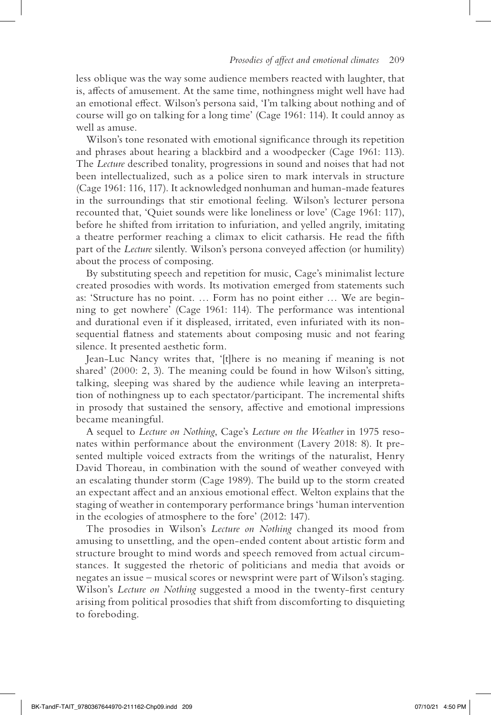less oblique was the way some audience members reacted with laughter, that is, affects of amusement. At the same time, nothingness might well have had an emotional effect. Wilson's persona said, 'I'm talking about nothing and of course will go on talking for a long time' (Cage 1961: 114). It could annoy as well as amuse.

Wilson's tone resonated with emotional significance through its repetition and phrases about hearing a blackbird and a woodpecker (Cage 1961: 113). The *Lecture* described tonality, progressions in sound and noises that had not been intellectualized, such as a police siren to mark intervals in structure (Cage 1961: 116, 117). It acknowledged nonhuman and human-made features in the surroundings that stir emotional feeling. Wilson's lecturer persona recounted that, 'Quiet sounds were like loneliness or love' (Cage 1961: 117), before he shifted from irritation to infuriation, and yelled angrily, imitating a theatre performer reaching a climax to elicit catharsis. He read the fifth part of the *Lecture* silently. Wilson's persona conveyed affection (or humility) about the process of composing.

By substituting speech and repetition for music, Cage's minimalist lecture created prosodies with words. Its motivation emerged from statements such as: 'Structure has no point. … Form has no point either … We are beginning to get nowhere' (Cage 1961: 114). The performance was intentional and durational even if it displeased, irritated, even infuriated with its nonsequential flatness and statements about composing music and not fearing silence. It presented aesthetic form.

Jean-Luc Nancy writes that, '[t]here is no meaning if meaning is not shared' (2000: 2, 3). The meaning could be found in how Wilson's sitting, talking, sleeping was shared by the audience while leaving an interpretation of nothingness up to each spectator/participant. The incremental shifts in prosody that sustained the sensory, affective and emotional impressions became meaningful.

A sequel to *Lecture on Nothing*, Cage's *Lecture on the Weather* in 1975 resonates within performance about the environment (Lavery 2018: 8). It presented multiple voiced extracts from the writings of the naturalist, Henry David Thoreau, in combination with the sound of weather conveyed with an escalating thunder storm (Cage 1989). The build up to the storm created an expectant affect and an anxious emotional effect. Welton explains that the staging of weather in contemporary performance brings 'human intervention in the ecologies of atmosphere to the fore' (2012: 147).

The prosodies in Wilson's *Lecture on Nothing* changed its mood from amusing to unsettling, and the open-ended content about artistic form and structure brought to mind words and speech removed from actual circumstances. It suggested the rhetoric of politicians and media that avoids or negates an issue – musical scores or newsprint were part of Wilson's staging. Wilson's *Lecture on Nothing* suggested a mood in the twenty-first century arising from political prosodies that shift from discomforting to disquieting to foreboding.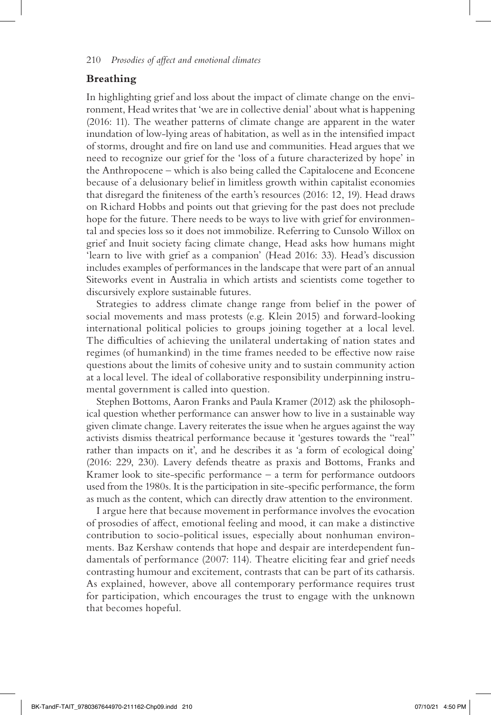#### **Breathing**

In highlighting grief and loss about the impact of climate change on the environment, Head writes that 'we are in collective denial' about what is happening (2016: 11). The weather patterns of climate change are apparent in the water inundation of low-lying areas of habitation, as well as in the intensified impact of storms, drought and fire on land use and communities. Head argues that we need to recognize our grief for the 'loss of a future characterized by hope' in the Anthropocene – which is also being called the Capitalocene and Econcene because of a delusionary belief in limitless growth within capitalist economies that disregard the finiteness of the earth's resources (2016: 12, 19). Head draws on Richard Hobbs and points out that grieving for the past does not preclude hope for the future. There needs to be ways to live with grief for environmental and species loss so it does not immobilize. Referring to Cunsolo Willox on grief and Inuit society facing climate change, Head asks how humans might 'learn to live with grief as a companion' (Head 2016: 33). Head's discussion includes examples of performances in the landscape that were part of an annual Siteworks event in Australia in which artists and scientists come together to discursively explore sustainable futures.

Strategies to address climate change range from belief in the power of social movements and mass protests (e.g. Klein 2015) and forward-looking international political policies to groups joining together at a local level. The difficulties of achieving the unilateral undertaking of nation states and regimes (of humankind) in the time frames needed to be effective now raise questions about the limits of cohesive unity and to sustain community action at a local level. The ideal of collaborative responsibility underpinning instrumental government is called into question.

Stephen Bottoms, Aaron Franks and Paula Kramer (2012) ask the philosophical question whether performance can answer how to live in a sustainable way given climate change. Lavery reiterates the issue when he argues against the way activists dismiss theatrical performance because it 'gestures towards the "real" rather than impacts on it', and he describes it as 'a form of ecological doing' (2016: 229, 230). Lavery defends theatre as praxis and Bottoms, Franks and Kramer look to site-specific performance  $-$  a term for performance outdoors used from the 1980s. It is the participation in site-specific performance, the form as much as the content, which can directly draw attention to the environment.

I argue here that because movement in performance involves the evocation of prosodies of affect, emotional feeling and mood, it can make a distinctive contribution to socio-political issues, especially about nonhuman environments. Baz Kershaw contends that hope and despair are interdependent fundamentals of performance (2007: 114). Theatre eliciting fear and grief needs contrasting humour and excitement, contrasts that can be part of its catharsis. As explained, however, above all contemporary performance requires trust for participation, which encourages the trust to engage with the unknown that becomes hopeful.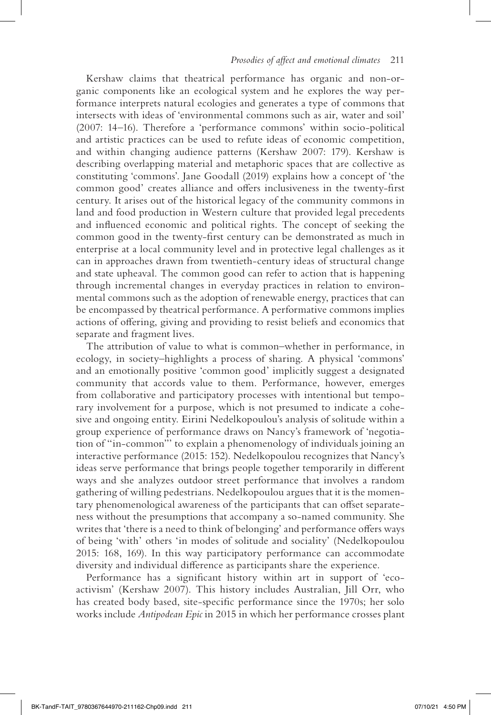Kershaw claims that theatrical performance has organic and non-organic components like an ecological system and he explores the way performance interprets natural ecologies and generates a type of commons that intersects with ideas of 'environmental commons such as air, water and soil' (2007: 14–16). Therefore a 'performance commons' within socio-political and artistic practices can be used to refute ideas of economic competition, and within changing audience patterns (Kershaw 2007: 179). Kershaw is describing overlapping material and metaphoric spaces that are collective as constituting 'commons'. Jane Goodall (2019) explains how a concept of 'the common good' creates alliance and offers inclusiveness in the twenty-first century. It arises out of the historical legacy of the community commons in land and food production in Western culture that provided legal precedents and influenced economic and political rights. The concept of seeking the common good in the twenty-first century can be demonstrated as much in enterprise at a local community level and in protective legal challenges as it can in approaches drawn from twentieth-century ideas of structural change and state upheaval. The common good can refer to action that is happening through incremental changes in everyday practices in relation to environmental commons such as the adoption of renewable energy, practices that can be encompassed by theatrical performance. A performative commons implies actions of offering, giving and providing to resist beliefs and economics that separate and fragment lives.

The attribution of value to what is common–whether in performance, in ecology, in society–highlights a process of sharing. A physical 'commons' and an emotionally positive 'common good' implicitly suggest a designated community that accords value to them. Performance, however, emerges from collaborative and participatory processes with intentional but temporary involvement for a purpose, which is not presumed to indicate a cohesive and ongoing entity. Eirini Nedelkopoulou's analysis of solitude within a group experience of performance draws on Nancy's framework of 'negotiation of "in-common"' to explain a phenomenology of individuals joining an interactive performance (2015: 152). Nedelkopoulou recognizes that Nancy's ideas serve performance that brings people together temporarily in different ways and she analyzes outdoor street performance that involves a random gathering of willing pedestrians. Nedelkopoulou argues that it is the momentary phenomenological awareness of the participants that can offset separateness without the presumptions that accompany a so-named community. She writes that 'there is a need to think of belonging' and performance offers ways of being 'with' others 'in modes of solitude and sociality' (Nedelkopoulou 2015: 168, 169). In this way participatory performance can accommodate diversity and individual difference as participants share the experience.

Performance has a significant history within art in support of 'ecoactivism' (Kershaw 2007). This history includes Australian, Jill Orr, who has created body based, site-specific performance since the 1970s; her solo works include *Antipodean Epic* in 2015 in which her performance crosses plant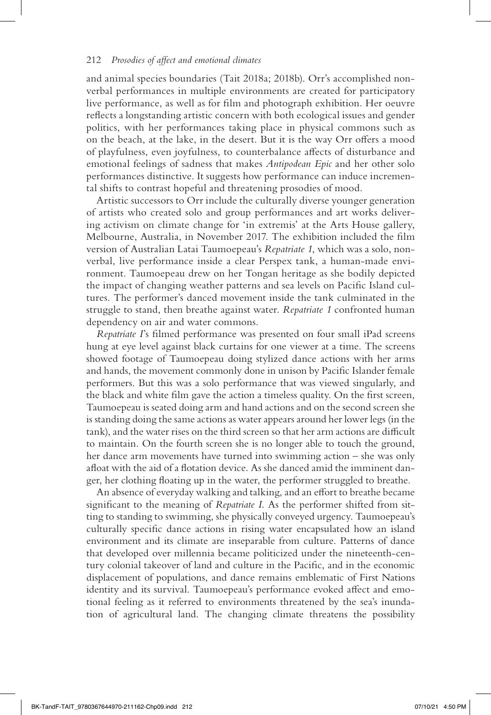and animal species boundaries (Tait 2018a; 2018b). Orr's accomplished nonverbal performances in multiple environments are created for participatory live performance, as well as for film and photograph exhibition. Her oeuvre reflects a longstanding artistic concern with both ecological issues and gender politics, with her performances taking place in physical commons such as on the beach, at the lake, in the desert. But it is the way Orr offers a mood of playfulness, even joyfulness, to counterbalance affects of disturbance and emotional feelings of sadness that makes *Antipodean Epic* and her other solo performances distinctive. It suggests how performance can induce incremental shifts to contrast hopeful and threatening prosodies of mood.

Artistic successors to Orr include the culturally diverse younger generation of artists who created solo and group performances and art works delivering activism on climate change for 'in extremis' at the Arts House gallery, Melbourne, Australia, in November 2017. The exhibition included the film version of Australian Latai Taumoepeau's *Repatriate 1*, which was a solo, nonverbal, live performance inside a clear Perspex tank, a human-made environment. Taumoepeau drew on her Tongan heritage as she bodily depicted the impact of changing weather patterns and sea levels on Pacific Island cultures. The performer's danced movement inside the tank culminated in the struggle to stand, then breathe against water. *Repatriate 1* confronted human dependency on air and water commons.

*Repatriate I*'s filmed performance was presented on four small iPad screens hung at eye level against black curtains for one viewer at a time. The screens showed footage of Taumoepeau doing stylized dance actions with her arms and hands, the movement commonly done in unison by Pacific Islander female performers. But this was a solo performance that was viewed singularly, and the black and white film gave the action a timeless quality. On the first screen, Taumoepeau is seated doing arm and hand actions and on the second screen she is standing doing the same actions as water appears around her lower legs (in the tank), and the water rises on the third screen so that her arm actions are difficult to maintain. On the fourth screen she is no longer able to touch the ground, her dance arm movements have turned into swimming action – she was only afloat with the aid of a flotation device. As she danced amid the imminent danger, her clothing floating up in the water, the performer struggled to breathe.

An absence of everyday walking and talking, and an effort to breathe became significant to the meaning of *Repatriate I*. As the performer shifted from sitting to standing to swimming, she physically conveyed urgency. Taumoepeau's culturally specific dance actions in rising water encapsulated how an island environment and its climate are inseparable from culture. Patterns of dance that developed over millennia became politicized under the nineteenth-century colonial takeover of land and culture in the Pacific, and in the economic displacement of populations, and dance remains emblematic of First Nations identity and its survival. Taumoepeau's performance evoked affect and emotional feeling as it referred to environments threatened by the sea's inundation of agricultural land. The changing climate threatens the possibility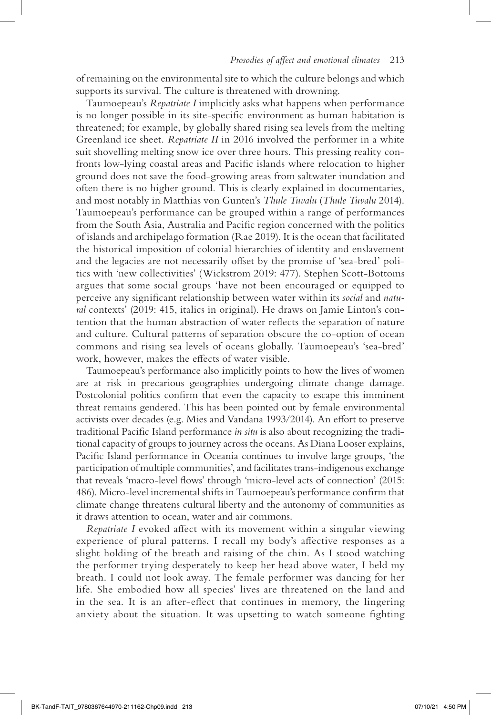of remaining on the environmental site to which the culture belongs and which supports its survival. The culture is threatened with drowning.

Taumoepeau's *Repatriate I* implicitly asks what happens when performance is no longer possible in its site-specific environment as human habitation is threatened; for example, by globally shared rising sea levels from the melting Greenland ice sheet. *Repatriate II* in 2016 involved the performer in a white suit shovelling melting snow ice over three hours. This pressing reality confronts low-lying coastal areas and Pacific islands where relocation to higher ground does not save the food-growing areas from saltwater inundation and often there is no higher ground. This is clearly explained in documentaries, and most notably in Matthias von Gunten's *Thule Tuvalu* (*Thule Tuvalu* 2014). Taumoepeau's performance can be grouped within a range of performances from the South Asia, Australia and Pacific region concerned with the politics of islands and archipelago formation (Rae 2019). It is the ocean that facilitated the historical imposition of colonial hierarchies of identity and enslavement and the legacies are not necessarily offset by the promise of 'sea-bred' politics with 'new collectivities' (Wickstrom 2019: 477). Stephen Scott-Bottoms argues that some social groups 'have not been encouraged or equipped to perceive any significant relationship between water within its *social* and *natural* contexts' (2019: 415, italics in original). He draws on Jamie Linton's contention that the human abstraction of water reflects the separation of nature and culture. Cultural patterns of separation obscure the co-option of ocean commons and rising sea levels of oceans globally. Taumoepeau's 'sea-bred' work, however, makes the effects of water visible.

Taumoepeau's performance also implicitly points to how the lives of women are at risk in precarious geographies undergoing climate change damage. Postcolonial politics confirm that even the capacity to escape this imminent threat remains gendered. This has been pointed out by female environmental activists over decades (e.g. Mies and Vandana 1993/2014). An effort to preserve traditional Pacific Island performance *in situ* is also about recognizing the traditional capacity of groups to journey across the oceans. As Diana Looser explains, Pacific Island performance in Oceania continues to involve large groups, 'the participation of multiple communities', and facilitates trans-indigenous exchange that reveals 'macro-level flows' through 'micro-level acts of connection' (2015: 486). Micro-level incremental shifts in Taumoepeau's performance confirm that climate change threatens cultural liberty and the autonomy of communities as it draws attention to ocean, water and air commons.

*Repatriate I* evoked affect with its movement within a singular viewing experience of plural patterns. I recall my body's affective responses as a slight holding of the breath and raising of the chin. As I stood watching the performer trying desperately to keep her head above water, I held my breath. I could not look away. The female performer was dancing for her life. She embodied how all species' lives are threatened on the land and in the sea. It is an after-effect that continues in memory, the lingering anxiety about the situation. It was upsetting to watch someone fighting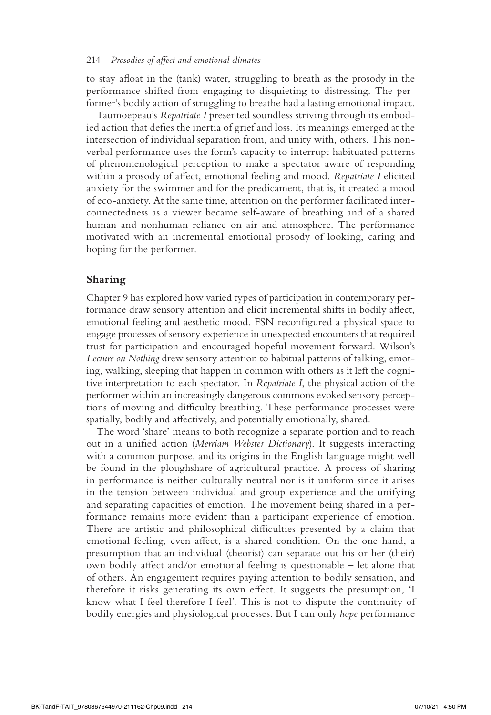to stay afloat in the (tank) water, struggling to breath as the prosody in the performance shifted from engaging to disquieting to distressing. The performer's bodily action of struggling to breathe had a lasting emotional impact.

Taumoepeau's *Repatriate I* presented soundless striving through its embodied action that defies the inertia of grief and loss. Its meanings emerged at the intersection of individual separation from, and unity with, others. This nonverbal performance uses the form's capacity to interrupt habituated patterns of phenomenological perception to make a spectator aware of responding within a prosody of affect, emotional feeling and mood. *Repatriate I* elicited anxiety for the swimmer and for the predicament, that is, it created a mood of eco-anxiety. At the same time, attention on the performer facilitated interconnectedness as a viewer became self-aware of breathing and of a shared human and nonhuman reliance on air and atmosphere. The performance motivated with an incremental emotional prosody of looking, caring and hoping for the performer.

#### **Sharing**

Chapter 9 has explored how varied types of participation in contemporary performance draw sensory attention and elicit incremental shifts in bodily affect, emotional feeling and aesthetic mood. FSN reconfigured a physical space to engage processes of sensory experience in unexpected encounters that required trust for participation and encouraged hopeful movement forward. Wilson's *Lecture on Nothing* drew sensory attention to habitual patterns of talking, emoting, walking, sleeping that happen in common with others as it left the cognitive interpretation to each spectator. In *Repatriate I*, the physical action of the performer within an increasingly dangerous commons evoked sensory perceptions of moving and difficulty breathing. These performance processes were spatially, bodily and affectively, and potentially emotionally, shared.

The word 'share' means to both recognize a separate portion and to reach out in a unified action (*Merriam Webster Dictionary*). It suggests interacting with a common purpose, and its origins in the English language might well be found in the ploughshare of agricultural practice. A process of sharing in performance is neither culturally neutral nor is it uniform since it arises in the tension between individual and group experience and the unifying and separating capacities of emotion. The movement being shared in a performance remains more evident than a participant experience of emotion. There are artistic and philosophical difficulties presented by a claim that emotional feeling, even affect, is a shared condition. On the one hand, a presumption that an individual (theorist) can separate out his or her (their) own bodily affect and/or emotional feeling is questionable – let alone that of others. An engagement requires paying attention to bodily sensation, and therefore it risks generating its own effect. It suggests the presumption, 'I know what I feel therefore I feel'. This is not to dispute the continuity of bodily energies and physiological processes. But I can only *hope* performance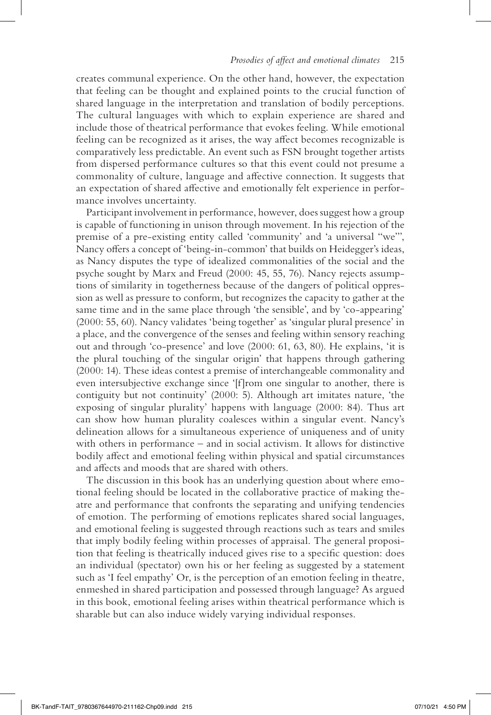creates communal experience. On the other hand, however, the expectation that feeling can be thought and explained points to the crucial function of shared language in the interpretation and translation of bodily perceptions. The cultural languages with which to explain experience are shared and include those of theatrical performance that evokes feeling. While emotional feeling can be recognized as it arises, the way affect becomes recognizable is comparatively less predictable. An event such as FSN brought together artists from dispersed performance cultures so that this event could not presume a commonality of culture, language and affective connection. It suggests that an expectation of shared affective and emotionally felt experience in performance involves uncertainty.

Participant involvement in performance, however, does suggest how a group is capable of functioning in unison through movement. In his rejection of the premise of a pre-existing entity called 'community' and 'a universal "we"', Nancy offers a concept of 'being-in-common' that builds on Heidegger's ideas, as Nancy disputes the type of idealized commonalities of the social and the psyche sought by Marx and Freud (2000: 45, 55, 76). Nancy rejects assumptions of similarity in togetherness because of the dangers of political oppression as well as pressure to conform, but recognizes the capacity to gather at the same time and in the same place through 'the sensible', and by 'co-appearing' (2000: 55, 60). Nancy validates 'being together' as 'singular plural presence' in a place, and the convergence of the senses and feeling within sensory reaching out and through 'co-presence' and love (2000: 61, 63, 80). He explains, 'it is the plural touching of the singular origin' that happens through gathering (2000: 14). These ideas contest a premise of interchangeable commonality and even intersubjective exchange since '[f]rom one singular to another, there is contiguity but not continuity' (2000: 5). Although art imitates nature, 'the exposing of singular plurality' happens with language (2000: 84). Thus art can show how human plurality coalesces within a singular event. Nancy's delineation allows for a simultaneous experience of uniqueness and of unity with others in performance – and in social activism. It allows for distinctive bodily affect and emotional feeling within physical and spatial circumstances and affects and moods that are shared with others.

The discussion in this book has an underlying question about where emotional feeling should be located in the collaborative practice of making theatre and performance that confronts the separating and unifying tendencies of emotion. The performing of emotions replicates shared social languages, and emotional feeling is suggested through reactions such as tears and smiles that imply bodily feeling within processes of appraisal. The general proposition that feeling is theatrically induced gives rise to a specific question: does an individual (spectator) own his or her feeling as suggested by a statement such as 'I feel empathy' Or, is the perception of an emotion feeling in theatre, enmeshed in shared participation and possessed through language? As argued in this book, emotional feeling arises within theatrical performance which is sharable but can also induce widely varying individual responses.